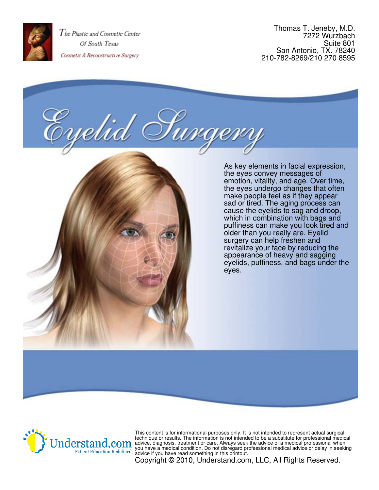

Thomas T. Jeneby, M.D. 7272 Wurzbach Suite 801 San Antonio, TX. 78240 210-782-8269/210 270 8595

elii





This content is for informational purposes only. It is not intended to represent actual surgical technique or results. The information is not intended to be a substitute for professional medical advice, diagnosis, treatment or care. Always seek the advice of a medical professional when you have a medical condition. Do not disregard professional medical advice or delay in seeking advice if you have read something in this printout.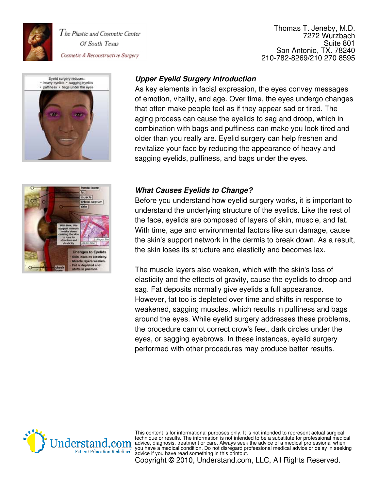

Thomas T. Jeneby, M.D. 7272 Wurzbach Suite 801 San Antonio, TX. 78240 210-782-8269/210 270 8595





# **Upper Eyelid Surgery Introduction**

As key elements in facial expression, the eyes convey messages of emotion, vitality, and age. Over time, the eyes undergo changes that often make people feel as if they appear sad or tired. The aging process can cause the eyelids to sag and droop, which in combination with bags and puffiness can make you look tired and older than you really are. Eyelid surgery can help freshen and revitalize your face by reducing the appearance of heavy and sagging eyelids, puffiness, and bags under the eyes.

## **What Causes Eyelids to Change?**

Before you understand how eyelid surgery works, it is important to understand the underlying structure of the eyelids. Like the rest of the face, eyelids are composed of layers of skin, muscle, and fat. With time, age and environmental factors like sun damage, cause the skin's support network in the dermis to break down. As a result, the skin loses its structure and elasticity and becomes lax.

The muscle layers also weaken, which with the skin's loss of elasticity and the effects of gravity, cause the eyelids to droop and sag. Fat deposits normally give eyelids a full appearance. However, fat too is depleted over time and shifts in response to weakened, sagging muscles, which results in puffiness and bags around the eyes. While eyelid surgery addresses these problems, the procedure cannot correct crow's feet, dark circles under the eyes, or sagging eyebrows. In these instances, eyelid surgery performed with other procedures may produce better results.



This content is for informational purposes only. It is not intended to represent actual surgical technique or results. The information is not intended to be a substitute for professional medical advice, diagnosis, treatment or care. Always seek the advice of a medical professional when you have a medical condition. Do not disregard professional medical advice or delay in seeking advice if you have read something in this printout.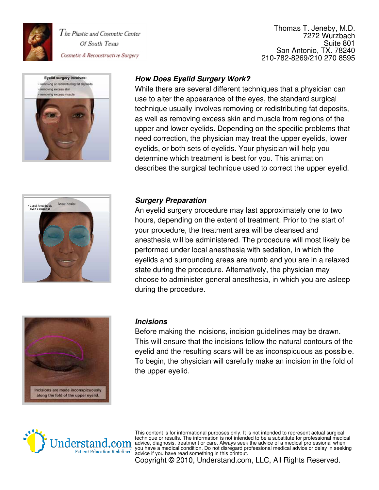

Thomas T. Jeneby, M.D. 7272 Wurzbach Suite 801 San Antonio, TX. 78240 210-782-8269/210 270 8595



## **How Does Eyelid Surgery Work?**

While there are several different techniques that a physician can use to alter the appearance of the eyes, the standard surgical technique usually involves removing or redistributing fat deposits, as well as removing excess skin and muscle from regions of the upper and lower eyelids. Depending on the specific problems that need correction, the physician may treat the upper eyelids, lower eyelids, or both sets of eyelids. Your physician will help you determine which treatment is best for you. This animation describes the surgical technique used to correct the upper eyelid.



### **Surgery Preparation**

An eyelid surgery procedure may last approximately one to two hours, depending on the extent of treatment. Prior to the start of your procedure, the treatment area will be cleansed and anesthesia will be administered. The procedure will most likely be performed under local anesthesia with sedation, in which the eyelids and surrounding areas are numb and you are in a relaxed state during the procedure. Alternatively, the physician may choose to administer general anesthesia, in which you are asleep during the procedure.



#### **Incisions**

Before making the incisions, incision guidelines may be drawn. This will ensure that the incisions follow the natural contours of the eyelid and the resulting scars will be as inconspicuous as possible. To begin, the physician will carefully make an incision in the fold of the upper eyelid.



This content is for informational purposes only. It is not intended to represent actual surgical technique or results. The information is not intended to be a substitute for professional medical advice, diagnosis, treatment or care. Always seek the advice of a medical professional when you have a medical condition. Do not disregard professional medical advice or delay in seeking advice if you have read something in this printout.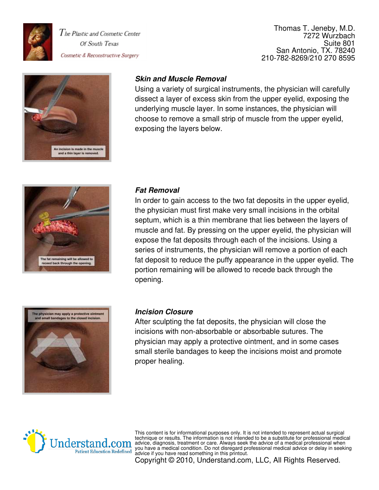

#### Thomas T. Jeneby, M.D. 7272 Wurzbach Suite 801 San Antonio, TX. 78240 210-782-8269/210 270 8595



## **Skin and Muscle Removal**

Using a variety of surgical instruments, the physician will carefully dissect a layer of excess skin from the upper eyelid, exposing the underlying muscle layer. In some instances, the physician will choose to remove a small strip of muscle from the upper eyelid, exposing the layers below.



#### **Fat Removal**

In order to gain access to the two fat deposits in the upper eyelid, the physician must first make very small incisions in the orbital septum, which is a thin membrane that lies between the layers of muscle and fat. By pressing on the upper eyelid, the physician will expose the fat deposits through each of the incisions. Using a series of instruments, the physician will remove a portion of each fat deposit to reduce the puffy appearance in the upper eyelid. The portion remaining will be allowed to recede back through the opening.



#### **Incision Closure**

After sculpting the fat deposits, the physician will close the incisions with non-absorbable or absorbable sutures. The physician may apply a protective ointment, and in some cases small sterile bandages to keep the incisions moist and promote proper healing.



This content is for informational purposes only. It is not intended to represent actual surgical technique or results. The information is not intended to be a substitute for professional medical advice, diagnosis, treatment or care. Always seek the advice of a medical professional when you have a medical condition. Do not disregard professional medical advice or delay in seeking advice if you have read something in this printout.